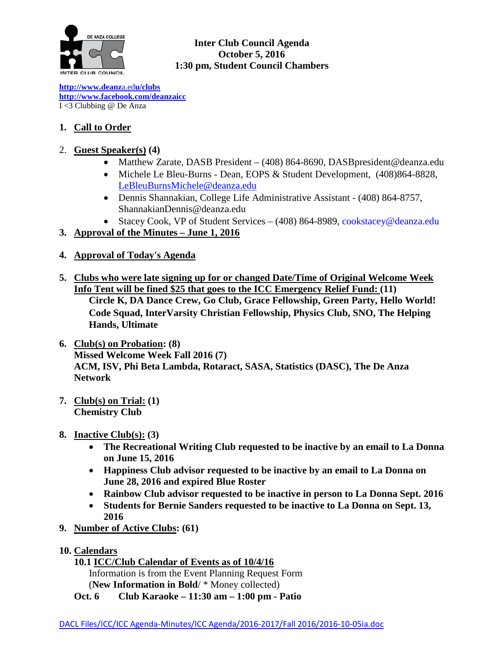

## **Inter Club Council Agenda October 5, 2016 1:30 pm, Student Council Chambers**

**[http://www.deanz](http://www.deanza.edu/clubs)**[a.ed](http://www.deanza.edu/clubs)**[u/clubs](http://www.deanza.edu/clubs) [http://www.facebook.com/deanzaicc](http://www.facebook.com/home.php#!/group.php?gid=59034552686)** I <3 Clubbing @ De Anza

## **1. Call to Order**

## 2. **Guest Speaker(s) (4)**

- Matthew Zarate, DASB President (408) 864-8690, DASB president @deanza.edu
- Michele Le Bleu-Burns Dean, EOPS & Student Development, (408)864-8828, [LeBleuBurnsMichele@deanza.edu](mailto:LeBleuBurnsMichele@deanza.edu)
- Dennis Shannakian, College Life Administrative Assistant (408) 864-8757, ShannakianDennis@deanza.edu
- Stacey Cook, VP of Student Services (408) 864-8989, [cookstacey@deanza.edu](mailto:cookstacey@deanza.edu)
- **3. Approval of the Minutes – June 1, 2016**
- **4. Approval of Today's Agenda**
- **5. Clubs who were late signing up for or changed Date/Time of Original Welcome Week Info Tent will be fined \$25 that goes to the ICC Emergency Relief Fund: (11)**

**Circle K, DA Dance Crew, Go Club, Grace Fellowship, Green Party, Hello World! Code Squad, InterVarsity Christian Fellowship, Physics Club, SNO, The Helping Hands, Ultimate**

- **6. Club(s) on Probation: (8) Missed Welcome Week Fall 2016 (7) ACM, ISV, Phi Beta Lambda, Rotaract, SASA, Statistics (DASC), The De Anza Network**
- **7. Club(s) on Trial: (1) Chemistry Club**
- **8. Inactive Club(s): (3)**
	- **The Recreational Writing Club requested to be inactive by an email to La Donna on June 15, 2016**
	- **Happiness Club advisor requested to be inactive by an email to La Donna on June 28, 2016 and expired Blue Roster**
	- **Rainbow Club advisor requested to be inactive in person to La Donna Sept. 2016**
	- **Students for Bernie Sanders requested to be inactive to La Donna on Sept. 13, 2016**
- **9. Number of Active Clubs: (61)**
- **10. Calendars**
	- **10.1 ICC/Club Calendar of Events as of 10/4/16** Information is from the Event Planning Request Form (**New Information in Bold**/ \* Money collected)
	- **Oct. 6 Club Karaoke – 11:30 am – 1:00 pm - Patio**